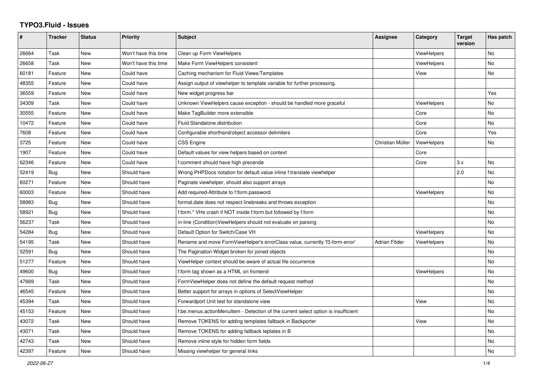## **TYPO3.Fluid - Issues**

| #     | Tracker    | <b>Status</b> | <b>Priority</b>      | Subject                                                                            | Assignee         | Category           | <b>Target</b><br>version | Has patch |
|-------|------------|---------------|----------------------|------------------------------------------------------------------------------------|------------------|--------------------|--------------------------|-----------|
| 26664 | Task       | New           | Won't have this time | Clean up Form ViewHelpers                                                          |                  | ViewHelpers        |                          | No        |
| 26658 | Task       | New           | Won't have this time | Make Form ViewHelpers consistent                                                   |                  | <b>ViewHelpers</b> |                          | No        |
| 60181 | Feature    | <b>New</b>    | Could have           | Caching mechanism for Fluid Views/Templates                                        |                  | View               |                          | No        |
| 48355 | Feature    | New           | Could have           | Assign output of viewhelper to template variable for further processing.           |                  |                    |                          |           |
| 36559 | Feature    | New           | Could have           | New widget progress bar                                                            |                  |                    |                          | Yes       |
| 34309 | Task       | New           | Could have           | Unknown ViewHelpers cause exception - should be handled more graceful              |                  | <b>ViewHelpers</b> |                          | No        |
| 30555 | Feature    | New           | Could have           | Make TagBuilder more extensible                                                    |                  | Core               |                          | No        |
| 10472 | Feature    | New           | Could have           | Fluid Standalone distribution                                                      |                  | Core               |                          | No        |
| 7608  | Feature    | New           | Could have           | Configurable shorthand/object accessor delimiters                                  |                  | Core               |                          | Yes       |
| 3725  | Feature    | New           | Could have           | CSS Engine                                                                         | Christian Müller | ViewHelpers        |                          | No        |
| 1907  | Feature    | New           | Could have           | Default values for view helpers based on context                                   |                  | Core               |                          |           |
| 62346 | Feature    | New           | Could have           | f:comment should have high precende                                                |                  | Core               | 3.x                      | No        |
| 52419 | Bug        | New           | Should have          | Wrong PHPDocs notation for default value inline f:translate viewhelper             |                  |                    | 2.0                      | <b>No</b> |
| 60271 | Feature    | New           | Should have          | Paginate viewhelper, should also support arrays                                    |                  |                    |                          | <b>No</b> |
| 60003 | Feature    | New           | Should have          | Add required-Attribute to f:form.password                                          |                  | ViewHelpers        |                          | No        |
| 58983 | Bug        | New           | Should have          | format.date does not respect linebreaks and throws exception                       |                  |                    |                          | <b>No</b> |
| 58921 | <b>Bug</b> | <b>New</b>    | Should have          | f:form.* VHs crash if NOT inside f:form but followed by f:form                     |                  |                    |                          | <b>No</b> |
| 56237 | Task       | <b>New</b>    | Should have          | in-line (Condition) View Helpers should not evaluate on parsing                    |                  |                    |                          | <b>No</b> |
| 54284 | Bug        | <b>New</b>    | Should have          | Default Option for Switch/Case VH                                                  |                  | ViewHelpers        |                          | <b>No</b> |
| 54195 | Task       | <b>New</b>    | Should have          | Rename and move FormViewHelper's errorClass value, currently 'f3-form-error'       | Adrian Föder     | ViewHelpers        |                          | <b>No</b> |
| 52591 | Bug        | New           | Should have          | The Pagination Widget broken for joined objects                                    |                  |                    |                          | <b>No</b> |
| 51277 | Feature    | <b>New</b>    | Should have          | ViewHelper context should be aware of actual file occurrence                       |                  |                    |                          | <b>No</b> |
| 49600 | Bug        | <b>New</b>    | Should have          | f:form tag shown as a HTML on frontend                                             |                  | ViewHelpers        |                          | <b>No</b> |
| 47669 | Task       | <b>New</b>    | Should have          | FormViewHelper does not define the default request method                          |                  |                    |                          | <b>No</b> |
| 46545 | Feature    | New           | Should have          | Better support for arrays in options of SelectViewHelper                           |                  |                    |                          | <b>No</b> |
| 45394 | Task       | New           | Should have          | Forwardport Unit test for standalone view                                          |                  | View               |                          | No        |
| 45153 | Feature    | <b>New</b>    | Should have          | f:be.menus.actionMenuItem - Detection of the current select option is insufficient |                  |                    |                          | <b>No</b> |
| 43072 | Task       | <b>New</b>    | Should have          | Remove TOKENS for adding templates fallback in Backporter                          |                  | View               |                          | <b>No</b> |
| 43071 | Task       | <b>New</b>    | Should have          | Remove TOKENS for adding fallback teplates in B                                    |                  |                    |                          | No        |
| 42743 | Task       | New           | Should have          | Remove inline style for hidden form fields                                         |                  |                    |                          | No        |
| 42397 | Feature    | New           | Should have          | Missing viewhelper for general links                                               |                  |                    |                          | No        |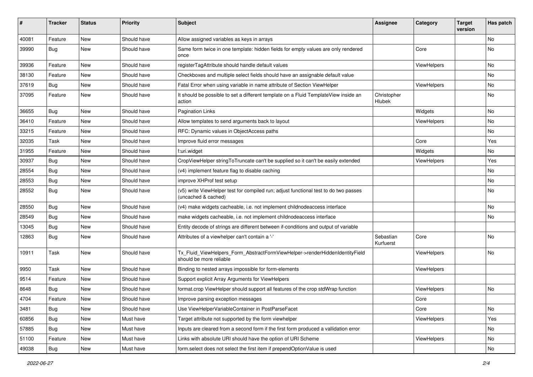| #     | <b>Tracker</b> | <b>Status</b> | <b>Priority</b> | <b>Subject</b>                                                                                              | <b>Assignee</b>        | Category           | <b>Target</b><br>version | Has patch |
|-------|----------------|---------------|-----------------|-------------------------------------------------------------------------------------------------------------|------------------------|--------------------|--------------------------|-----------|
| 40081 | Feature        | New           | Should have     | Allow assigned variables as keys in arrays                                                                  |                        |                    |                          | <b>No</b> |
| 39990 | Bug            | New           | Should have     | Same form twice in one template: hidden fields for empty values are only rendered<br>once                   |                        | Core               |                          | No        |
| 39936 | Feature        | <b>New</b>    | Should have     | registerTagAttribute should handle default values                                                           |                        | ViewHelpers        |                          | No        |
| 38130 | Feature        | New           | Should have     | Checkboxes and multiple select fields should have an assignable default value                               |                        |                    |                          | No        |
| 37619 | Bug            | New           | Should have     | Fatal Error when using variable in name attribute of Section ViewHelper                                     |                        | ViewHelpers        |                          | No        |
| 37095 | Feature        | New           | Should have     | It should be possible to set a different template on a Fluid TemplateView inside an<br>action               | Christopher<br>Hlubek  |                    |                          | No        |
| 36655 | Bug            | New           | Should have     | <b>Pagination Links</b>                                                                                     |                        | Widgets            |                          | No        |
| 36410 | Feature        | New           | Should have     | Allow templates to send arguments back to layout                                                            |                        | ViewHelpers        |                          | No        |
| 33215 | Feature        | New           | Should have     | RFC: Dynamic values in ObjectAccess paths                                                                   |                        |                    |                          | No.       |
| 32035 | Task           | New           | Should have     | Improve fluid error messages                                                                                |                        | Core               |                          | Yes       |
| 31955 | Feature        | New           | Should have     | f:uri.widget                                                                                                |                        | Widgets            |                          | No        |
| 30937 | Bug            | New           | Should have     | CropViewHelper stringToTruncate can't be supplied so it can't be easily extended                            |                        | ViewHelpers        |                          | Yes       |
| 28554 | Bug            | New           | Should have     | (v4) implement feature flag to disable caching                                                              |                        |                    |                          | No        |
| 28553 | Bug            | New           | Should have     | improve XHProf test setup                                                                                   |                        |                    |                          | No        |
| 28552 | Bug            | New           | Should have     | (v5) write ViewHelper test for compiled run; adjust functional test to do two passes<br>(uncached & cached) |                        |                    |                          | No        |
| 28550 | Bug            | <b>New</b>    | Should have     | (v4) make widgets cacheable, i.e. not implement childnodeaccess interface                                   |                        |                    |                          | No        |
| 28549 | Bug            | New           | Should have     | make widgets cacheable, i.e. not implement childnodeaccess interface                                        |                        |                    |                          | No        |
| 13045 | Bug            | New           | Should have     | Entity decode of strings are different between if-conditions and output of variable                         |                        |                    |                          |           |
| 12863 | Bug            | New           | Should have     | Attributes of a viewhelper can't contain a '-'                                                              | Sebastian<br>Kurfuerst | Core               |                          | No        |
| 10911 | Task           | New           | Should have     | Tx_Fluid_ViewHelpers_Form_AbstractFormViewHelper->renderHiddenIdentityField<br>should be more reliable      |                        | ViewHelpers        |                          | No        |
| 9950  | Task           | New           | Should have     | Binding to nested arrays impossible for form-elements                                                       |                        | <b>ViewHelpers</b> |                          |           |
| 9514  | Feature        | New           | Should have     | Support explicit Array Arguments for ViewHelpers                                                            |                        |                    |                          |           |
| 8648  | Bug            | New           | Should have     | format.crop ViewHelper should support all features of the crop stdWrap function                             |                        | ViewHelpers        |                          | No        |
| 4704  | Feature        | New           | Should have     | Improve parsing exception messages                                                                          |                        | Core               |                          |           |
| 3481  | Bug            | New           | Should have     | Use ViewHelperVariableContainer in PostParseFacet                                                           |                        | Core               |                          | No        |
| 60856 | <b>Bug</b>     | New           | Must have       | Target attribute not supported by the form viewhelper                                                       |                        | ViewHelpers        |                          | Yes       |
| 57885 | Bug            | New           | Must have       | Inputs are cleared from a second form if the first form produced a vallidation error                        |                        |                    |                          | No        |
| 51100 | Feature        | New           | Must have       | Links with absolute URI should have the option of URI Scheme                                                |                        | ViewHelpers        |                          | No        |
| 49038 | Bug            | New           | Must have       | form.select does not select the first item if prependOptionValue is used                                    |                        |                    |                          | No        |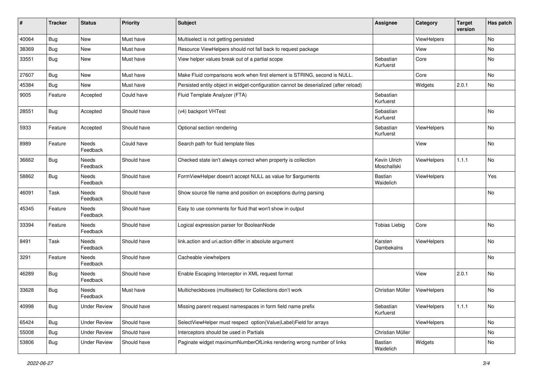| #     | <b>Tracker</b> | <b>Status</b>       | <b>Priority</b> | Subject                                                                               | <b>Assignee</b>             | Category    | <b>Target</b><br>version | Has patch      |
|-------|----------------|---------------------|-----------------|---------------------------------------------------------------------------------------|-----------------------------|-------------|--------------------------|----------------|
| 40064 | Bug            | New                 | Must have       | Multiselect is not getting persisted                                                  |                             | ViewHelpers |                          | No             |
| 38369 | Bug            | New                 | Must have       | Resource ViewHelpers should not fall back to request package                          |                             | View        |                          | No             |
| 33551 | Bug            | New                 | Must have       | View helper values break out of a partial scope                                       | Sebastian<br>Kurfuerst      | Core        |                          | No             |
| 27607 | Bug            | New                 | Must have       | Make Fluid comparisons work when first element is STRING, second is NULL.             |                             | Core        |                          | <b>No</b>      |
| 45384 | Bug            | New                 | Must have       | Persisted entity object in widget-configuration cannot be deserialized (after reload) |                             | Widgets     | 2.0.1                    | N <sub>o</sub> |
| 9005  | Feature        | Accepted            | Could have      | Fluid Template Analyzer (FTA)                                                         | Sebastian<br>Kurfuerst      |             |                          |                |
| 28551 | <b>Bug</b>     | Accepted            | Should have     | (v4) backport VHTest                                                                  | Sebastian<br>Kurfuerst      |             |                          | <b>No</b>      |
| 5933  | Feature        | Accepted            | Should have     | Optional section rendering                                                            | Sebastian<br>Kurfuerst      | ViewHelpers |                          | No             |
| 8989  | Feature        | Needs<br>Feedback   | Could have      | Search path for fluid template files                                                  |                             | View        |                          | <b>No</b>      |
| 36662 | Bug            | Needs<br>Feedback   | Should have     | Checked state isn't always correct when property is collection                        | Kevin Ulrich<br>Moschallski | ViewHelpers | 1.1.1                    | <b>No</b>      |
| 58862 | Bug            | Needs<br>Feedback   | Should have     | FormViewHelper doesn't accept NULL as value for \$arguments                           | Bastian<br>Waidelich        | ViewHelpers |                          | Yes            |
| 46091 | Task           | Needs<br>Feedback   | Should have     | Show source file name and position on exceptions during parsing                       |                             |             |                          | No             |
| 45345 | Feature        | Needs<br>Feedback   | Should have     | Easy to use comments for fluid that won't show in output                              |                             |             |                          |                |
| 33394 | Feature        | Needs<br>Feedback   | Should have     | Logical expression parser for BooleanNode                                             | <b>Tobias Liebig</b>        | Core        |                          | No             |
| 8491  | Task           | Needs<br>Feedback   | Should have     | link.action and uri.action differ in absolute argument                                | Karsten<br>Dambekalns       | ViewHelpers |                          | <b>No</b>      |
| 3291  | Feature        | Needs<br>Feedback   | Should have     | Cacheable viewhelpers                                                                 |                             |             |                          | No             |
| 46289 | Bug            | Needs<br>Feedback   | Should have     | Enable Escaping Interceptor in XML request format                                     |                             | View        | 2.0.1                    | <b>No</b>      |
| 33628 | Bug            | Needs<br>Feedback   | Must have       | Multicheckboxes (multiselect) for Collections don't work                              | Christian Müller            | ViewHelpers |                          | No             |
| 40998 | <b>Bug</b>     | <b>Under Review</b> | Should have     | Missing parent request namespaces in form field name prefix                           | Sebastian<br>Kurfuerst      | ViewHelpers | 1.1.1                    | No             |
| 65424 | <b>Bug</b>     | <b>Under Review</b> | Should have     | SelectViewHelper must respect option(Value Label)Field for arrays                     |                             | ViewHelpers |                          | No             |
| 55008 | <b>Bug</b>     | <b>Under Review</b> | Should have     | Interceptors should be used in Partials                                               | Christian Müller            |             |                          | No             |
| 53806 | <b>Bug</b>     | <b>Under Review</b> | Should have     | Paginate widget maximumNumberOfLinks rendering wrong number of links                  | Bastian<br>Waidelich        | Widgets     |                          | No             |